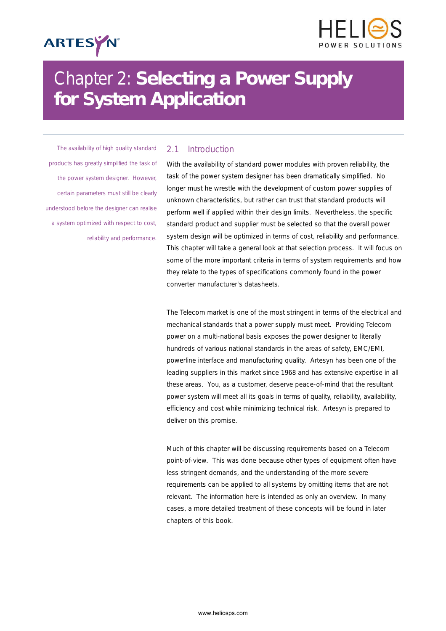



# Chapter 2: *Selecting a Power Supply for System Application*

*The availability of high quality standard products has greatly simplified the task of the power system designer. However, certain parameters must still be clearly understood before the designer can realise a system optimized with respect to cost, reliability and performance.*

# *2.1 Introduction*

With the availability of standard power modules with proven reliability, the task of the power system designer has been dramatically simplified. No longer must he wrestle with the development of custom power supplies of unknown characteristics, but rather can trust that standard products will perform well if applied within their design limits. Nevertheless, the specific standard product and supplier must be selected so that the overall power system design will be optimized in terms of cost, reliability and performance. This chapter will take a general look at that selection process. It will focus on some of the more important criteria in terms of system requirements and how they relate to the types of specifications commonly found in the power converter manufacturer's datasheets.

The Telecom market is one of the most stringent in terms of the electrical and mechanical standards that a power supply must meet. Providing Telecom power on a multi-national basis exposes the power designer to literally hundreds of various national standards in the areas of safety, EMC/EMI, powerline interface and manufacturing quality. Artesyn has been one of the leading suppliers in this market since 1968 and has extensive expertise in all these areas. You, as a customer, deserve peace-of-mind that the resultant power system will meet all its goals in terms of quality, reliability, availability, efficiency and cost while minimizing technical risk. Artesyn is prepared to deliver on this promise.

Much of this chapter will be discussing requirements based on a Telecom point-of-view. This was done because other types of equipment often have less stringent demands, and the understanding of the more severe requirements can be applied to all systems by omitting items that are not relevant. The information here is intended as only an overview. In many cases, a more detailed treatment of these concepts will be found in later chapters of this book.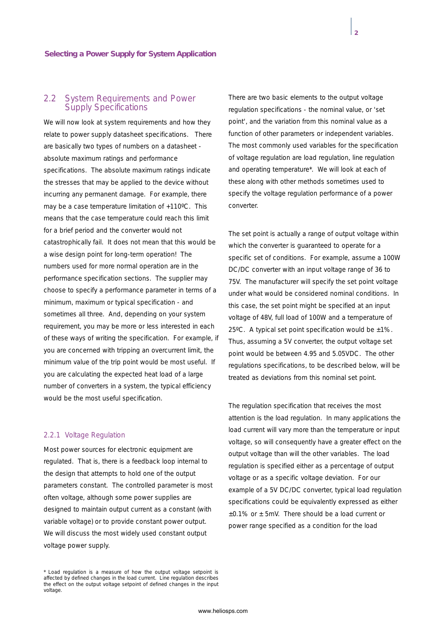## *2.2 System Requirements and Power Supply Specifications*

We will now look at system requirements and how they relate to power supply datasheet specifications. There are basically two types of numbers on a datasheet absolute maximum ratings and performance specifications. The absolute maximum ratings indicate the stresses that may be applied to the device without incurring any permanent damage. For example, there may be a case temperature limitation of +110ºC. This means that the case temperature could reach this limit for a brief period and the converter would not catastrophically fail. It does not mean that this would be a wise design point for long-term operation! The numbers used for more normal operation are in the performance specification sections. The supplier may choose to specify a performance parameter in terms of a minimum, maximum or typical specification - and sometimes all three. And, depending on your system requirement, you may be more or less interested in each of these ways of writing the specification. For example, if you are concerned with tripping an overcurrent limit, the minimum value of the trip point would be most useful. If you are calculating the expected heat load of a large number of converters in a system, the typical efficiency would be the most useful specification.

#### *2.2.1 Voltage Regulation*

Most power sources for electronic equipment are regulated. That is, there is a feedback loop internal to the design that attempts to hold one of the output parameters constant. The controlled parameter is most often voltage, although some power supplies are designed to maintain output current as a constant (with variable voltage) or to provide constant power output. We will discuss the most widely used constant output voltage power supply.

There are two basic elements to the output voltage regulation specifications - the nominal value, or 'set point', and the variation from this nominal value as a function of other parameters or independent variables. The most commonly used variables for the specification of voltage regulation are load regulation, line regulation and operating temperature\*. We will look at each of these along with other methods sometimes used to specify the voltage regulation performance of a power converter.

The set point is actually a range of output voltage within which the converter is guaranteed to operate for a specific set of conditions. For example, assume a 100W DC/DC converter with an input voltage range of 36 to 75V. The manufacturer will specify the set point voltage under what would be considered nominal conditions. In this case, the set point might be specified at an input voltage of 48V, full load of 100W and a temperature of 25°C. A typical set point specification would be  $\pm 1\%$ . Thus, assuming a 5V converter, the output voltage set point would be between 4.95 and 5.05VDC. The other regulations specifications, to be described below, will be treated as deviations from this nominal set point.

The regulation specification that receives the most attention is the load regulation. In many applications the load current will vary more than the temperature or input voltage, so will consequently have a greater effect on the output voltage than will the other variables. The load regulation is specified either as a percentage of output voltage or as a specific voltage deviation. For our example of a 5V DC/DC converter, typical load regulation specifications could be equivalently expressed as either  $±0.1\%$  or  $±$  5mV. There should be a load current or power range specified as a condition for the load

Load regulation is a measure of how the output voltage setpoint is affected by defined changes in the load current. Line regulation describes the effect on the output voltage setpoint of defined changes in the input voltage.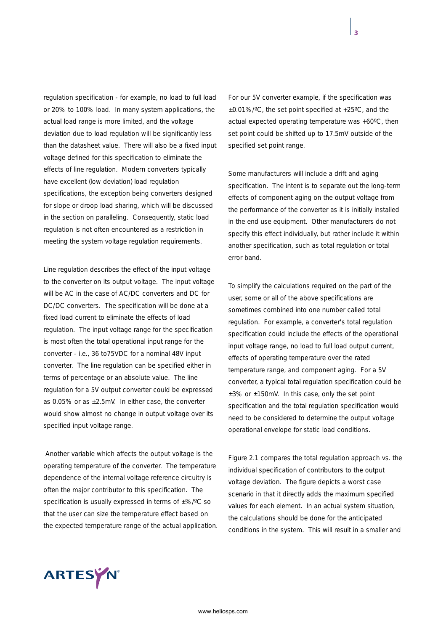regulation specification - for example, no load to full load or 20% to 100% load. In many system applications, the actual load range is more limited, and the voltage deviation due to load regulation will be significantly less than the datasheet value. There will also be a fixed input voltage defined for this specification to eliminate the effects of line regulation. Modern converters typically have excellent (low deviation) load regulation specifications, the exception being converters designed for slope or droop load sharing, which will be discussed in the section on paralleling. Consequently, static load regulation is not often encountered as a restriction in meeting the system voltage regulation requirements.

Line regulation describes the effect of the input voltage to the converter on its output voltage. The input voltage will be AC in the case of AC/DC converters and DC for DC/DC converters. The specification will be done at a fixed load current to eliminate the effects of load regulation. The input voltage range for the specification is most often the total operational input range for the converter - i.e., 36 to75VDC for a nominal 48V input converter. The line regulation can be specified either in terms of percentage or an absolute value. The line regulation for a 5V output converter could be expressed as 0.05% or as  $\pm 2.5$ mV. In either case, the converter would show almost no change in output voltage over its specified input voltage range.

Another variable which affects the output voltage is the operating temperature of the converter. The temperature dependence of the internal voltage reference circuitry is often the major contributor to this specification. The specification is usually expressed in terms of ±%/ºC so that the user can size the temperature effect based on the expected temperature range of the actual application. For our 5V converter example, if the specification was ±0.01%/ºC, the set point specified at +25ºC, and the actual expected operating temperature was +60ºC, then set point could be shifted up to 17.5mV outside of the specified set point range.

Some manufacturers will include a drift and aging specification. The intent is to separate out the long-term effects of component aging on the output voltage from the performance of the converter as it is initially installed in the end use equipment. Other manufacturers do not specify this effect individually, but rather include it within another specification, such as total regulation or total error band.

To simplify the calculations required on the part of the user, some or all of the above specifications are sometimes combined into one number called total regulation. For example, a converter's total regulation specification could include the effects of the operational input voltage range, no load to full load output current, effects of operating temperature over the rated temperature range, and component aging. For a 5V converter, a typical total regulation specification could be  $±3\%$  or  $±150$ mV. In this case, only the set point specification and the total regulation specification would need to be considered to determine the output voltage operational envelope for static load conditions.

Figure 2.1 compares the total regulation approach vs. the individual specification of contributors to the output voltage deviation. The figure depicts a worst case scenario in that it directly adds the maximum specified values for each element. In an actual system situation, the calculations should be done for the anticipated conditions in the system. This will result in a smaller and

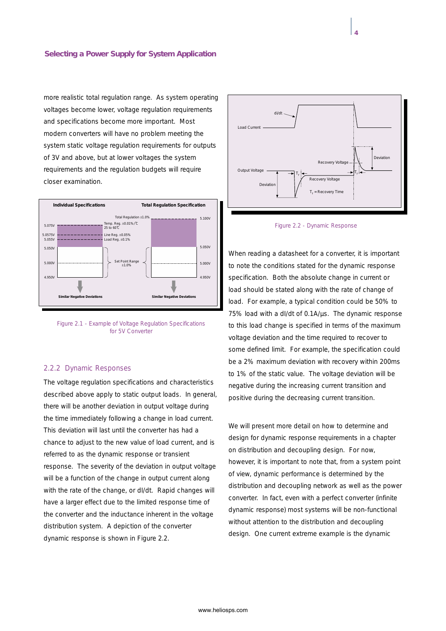more realistic total regulation range. As system operating voltages become lower, voltage regulation requirements and specifications become more important. Most modern converters will have no problem meeting the system static voltage regulation requirements for outputs of 3V and above, but at lower voltages the system requirements and the regulation budgets will require closer examination.



*Figure 2.1 - Example of Voltage Regulation Specifications for 5V Converter*

#### *2.2.2 Dynamic Responses*

The voltage regulation specifications and characteristics described above apply to static output loads. In general, there will be another deviation in output voltage during the time immediately following a change in load current. This deviation will last until the converter has had a chance to adjust to the new value of load current, and is referred to as the dynamic response or transient response. The severity of the deviation in output voltage will be a function of the change in output current along with the rate of the change, or dI/dt. Rapid changes will have a larger effect due to the limited response time of the converter and the inductance inherent in the voltage distribution system. A depiction of the converter dynamic response is shown in Figure 2.2.



*Figure 2.2 - Dynamic Response*

When reading a datasheet for a converter, it is important to note the conditions stated for the dynamic response specification. Both the absolute change in current or load should be stated along with the rate of change of load. For example, a typical condition could be 50% to 75% load with a dI/dt of 0.1A/µs. The dynamic response to this load change is specified in terms of the maximum voltage deviation and the time required to recover to some defined limit. For example, the specification could be a 2% maximum deviation with recovery within 200ms to 1% of the static value. The voltage deviation will be negative during the increasing current transition and positive during the decreasing current transition.

We will present more detail on how to determine and design for dynamic response requirements in a chapter on distribution and decoupling design. For now, however, it is important to note that, from a system point of view, dynamic performance is determined by the distribution and decoupling network as well as the power converter. In fact, even with a perfect converter (infinite dynamic response) most systems will be non-functional without attention to the distribution and decoupling design. One current extreme example is the dynamic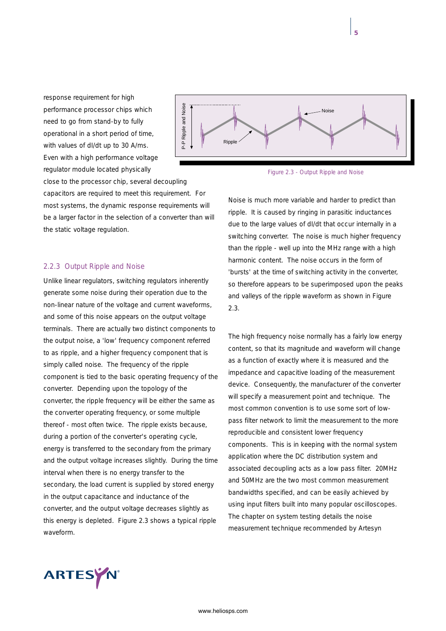response requirement for high performance processor chips which need to go from stand-by to fully operational in a short period of time, with values of dI/dt up to 30 A/ms. Even with a high performance voltage regulator module located physically close to the processor chip, several decoupling

capacitors are required to meet this requirement. For most systems, the dynamic response requirements will be a larger factor in the selection of a converter than will the static voltage regulation.

## *2.2.3 Output Ripple and Noise*

Unlike linear regulators, switching regulators inherently generate some noise during their operation due to the non-linear nature of the voltage and current waveforms, and some of this noise appears on the output voltage terminals. There are actually two distinct components to the output noise, a 'low' frequency component referred to as ripple, and a higher frequency component that is simply called noise. The frequency of the ripple component is tied to the basic operating frequency of the converter. Depending upon the topology of the converter, the ripple frequency will be either the same as the converter operating frequency, or some multiple thereof - most often twice. The ripple exists because, during a portion of the converter's operating cycle, energy is transferred to the secondary from the primary and the output voltage increases slightly. During the time interval when there is no energy transfer to the secondary, the load current is supplied by stored energy in the output capacitance and inductance of the converter, and the output voltage decreases slightly as this energy is depleted. Figure 2.3 shows a typical ripple waveform.





Noise is much more variable and harder to predict than ripple. It is caused by ringing in parasitic inductances due to the large values of dI/dt that occur internally in a switching converter. The noise is much higher frequency than the ripple - well up into the MHz range with a high harmonic content. The noise occurs in the form of 'bursts' at the time of switching activity in the converter, so therefore appears to be superimposed upon the peaks and valleys of the ripple waveform as shown in Figure 2.3.

The high frequency noise normally has a fairly low energy content, so that its magnitude and waveform will change as a function of exactly where it is measured and the impedance and capacitive loading of the measurement device. Consequently, the manufacturer of the converter will specify a measurement point and technique. The most common convention is to use some sort of lowpass filter network to limit the measurement to the more reproducible and consistent lower frequency components. This is in keeping with the normal system application where the DC distribution system and associated decoupling acts as a low pass filter. 20MHz and 50MHz are the two most common measurement bandwidths specified, and can be easily achieved by using input filters built into many popular oscilloscopes. The chapter on system testing details the noise measurement technique recommended by Artesyn

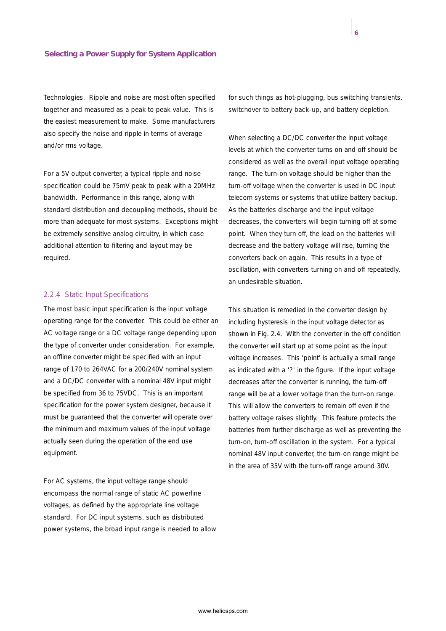Technologies. Ripple and noise are most often specified together and measured as a peak to peak value. This is the easiest measurement to make. Some manufacturers also specify the noise and ripple in terms of average and/or rms voltage.

For a 5V output converter, a typical ripple and noise specification could be 75mV peak to peak with a 20MHz bandwidth. Performance in this range, along with standard distribution and decoupling methods, should be more than adequate for most systems. Exceptions might be extremely sensitive analog circuitry, in which case additional attention to filtering and layout may be required.

## *2.2.4 Static Input Specifications*

The most basic input specification is the input voltage operating range for the converter. This could be either an AC voltage range or a DC voltage range depending upon the type of converter under consideration. For example, an offline converter might be specified with an input range of 170 to 264VAC for a 200/240V nominal system and a DC/DC converter with a nominal 48V input might be specified from 36 to 75VDC. This is an important specification for the power system designer, because it must be guaranteed that the converter will operate over the minimum and maximum values of the input voltage actually seen during the operation of the end use equipment.

For AC systems, the input voltage range should encompass the normal range of static AC powerline voltages, as defined by the appropriate line voltage standard. For DC input systems, such as distributed power systems, the broad input range is needed to allow for such things as hot-plugging, bus switching transients, switchover to battery back-up, and battery depletion.

When selecting a DC/DC converter the input voltage levels at which the converter turns on and off should be considered as well as the overall input voltage operating range. The turn-on voltage should be higher than the turn-off voltage when the converter is used in DC input telecom systems or systems that utilize battery backup. As the batteries discharge and the input voltage decreases, the converters will begin turning off at some point. When they turn off, the load on the batteries will decrease and the battery voltage will rise, turning the converters back on again. This results in a type of oscillation, with converters turning on and off repeatedly, an undesirable situation.

This situation is remedied in the converter design by including hysteresis in the input voltage detector as shown in Fig. 2.4. With the converter in the off condition the converter will start up at some point as the input voltage increases. This 'point' is actually a small range as indicated with a '?' in the figure. If the input voltage decreases after the converter is running, the turn-off range will be at a lower voltage than the turn-on range. This will allow the converters to remain off even if the battery voltage raises slightly. This feature protects the batteries from further discharge as well as preventing the turn-on, turn-off oscillation in the system. For a typical nominal 48V input converter, the turn-on range might be in the area of 35V with the turn-off range around 30V.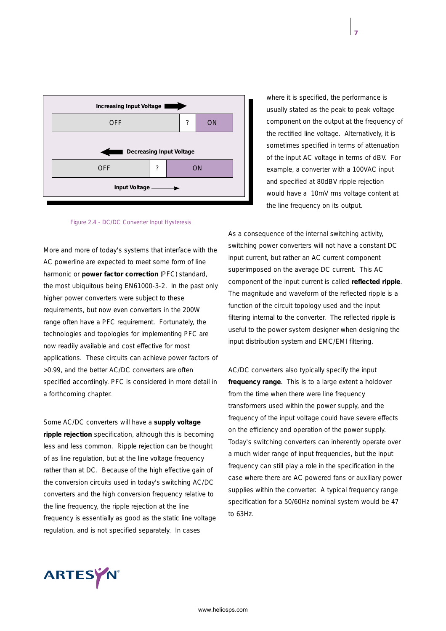

*Figure 2.4 - DC/DC Converter Input Hysteresis*

More and more of today's systems that interface with the AC powerline are expected to meet some form of line harmonic or **power factor correction** (PFC) standard, the most ubiquitous being EN61000-3-2. In the past only higher power converters were subject to these requirements, but now even converters in the 200W range often have a PFC requirement. Fortunately, the technologies and topologies for implementing PFC are now readily available and cost effective for most applications. These circuits can achieve power factors of >0.99, and the better AC/DC converters are often specified accordingly. PFC is considered in more detail in a forthcoming chapter.

Some AC/DC converters will have a **supply voltage ripple rejection** specification, although this is becoming less and less common. Ripple rejection can be thought of as line regulation, but at the line voltage frequency rather than at DC. Because of the high effective gain of the conversion circuits used in today's switching AC/DC converters and the high conversion frequency relative to the line frequency, the ripple rejection at the line frequency is essentially as good as the static line voltage regulation, and is not specified separately. In cases

where it is specified, the performance is usually stated as the peak to peak voltage component on the output at the frequency of the rectified line voltage. Alternatively, it is sometimes specified in terms of attenuation of the input AC voltage in terms of dBV. For example, a converter with a 100VAC input and specified at 80dBV ripple rejection would have a 10mV rms voltage content at the line frequency on its output.

As a consequence of the internal switching activity, switching power converters will not have a constant DC input current, but rather an AC current component superimposed on the average DC current. This AC component of the input current is called **reflected ripple**. The magnitude and waveform of the reflected ripple is a function of the circuit topology used and the input filtering internal to the converter. The reflected ripple is useful to the power system designer when designing the input distribution system and EMC/EMI filtering.

AC/DC converters also typically specify the input **frequency range**. This is to a large extent a holdover from the time when there were line frequency transformers used within the power supply, and the frequency of the input voltage could have severe effects on the efficiency and operation of the power supply. Today's switching converters can inherently operate over a much wider range of input frequencies, but the input frequency can still play a role in the specification in the case where there are AC powered fans or auxiliary power supplies within the converter. A typical frequency range specification for a 50/60Hz nominal system would be 47 to 63Hz.

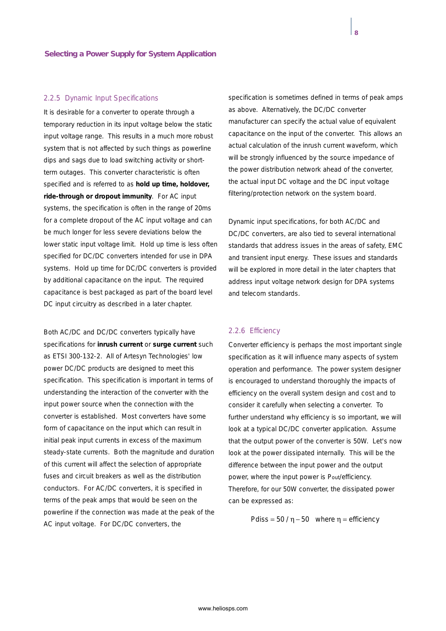#### *2.2.5 Dynamic Input Specifications*

It is desirable for a converter to operate through a temporary reduction in its input voltage below the static input voltage range. This results in a much more robust system that is not affected by such things as powerline dips and sags due to load switching activity or shortterm outages. This converter characteristic is often specified and is referred to as **hold up time, holdover, ride-through or dropout immunity**. For AC input systems, the specification is often in the range of 20ms for a complete dropout of the AC input voltage and can be much longer for less severe deviations below the lower static input voltage limit. Hold up time is less often specified for DC/DC converters intended for use in DPA systems. Hold up time for DC/DC converters is provided by additional capacitance on the input. The required capacitance is best packaged as part of the board level DC input circuitry as described in a later chapter.

Both AC/DC and DC/DC converters typically have specifications for **inrush current** or **surge current** such as ETSI 300-132-2. All of Artesyn Technologies' low power DC/DC products are designed to meet this specification. This specification is important in terms of understanding the interaction of the converter with the input power source when the connection with the converter is established. Most converters have some form of capacitance on the input which can result in initial peak input currents in excess of the maximum steady-state currents. Both the magnitude and duration of this current will affect the selection of appropriate fuses and circuit breakers as well as the distribution conductors. For AC/DC converters, it is specified in terms of the peak amps that would be seen on the powerline if the connection was made at the peak of the AC input voltage. For DC/DC converters, the

specification is sometimes defined in terms of peak amps as above. Alternatively, the DC/DC converter manufacturer can specify the actual value of equivalent capacitance on the input of the converter. This allows an actual calculation of the inrush current waveform, which will be strongly influenced by the source impedance of the power distribution network ahead of the converter, the actual input DC voltage and the DC input voltage filtering/protection network on the system board.

Dynamic input specifications, for both AC/DC and DC/DC converters, are also tied to several international standards that address issues in the areas of safety, EMC and transient input energy. These issues and standards will be explored in more detail in the later chapters that address input voltage network design for DPA systems and telecom standards.

#### *2.2.6 Efficiency*

Converter efficiency is perhaps the most important single specification as it will influence many aspects of system operation and performance. The power system designer is encouraged to understand thoroughly the impacts of efficiency on the overall system design and cost and to consider it carefully when selecting a converter. To further understand why efficiency is so important, we will look at a typical DC/DC converter application. Assume that the output power of the converter is 50W. Let's now look at the power dissipated internally. This will be the difference between the input power and the output power, where the input power is Pout/efficiency. Therefore, for our 50W converter, the dissipated power can be expressed as:

Pdiss =  $50 / \eta - 50$  where  $\eta$  = efficiency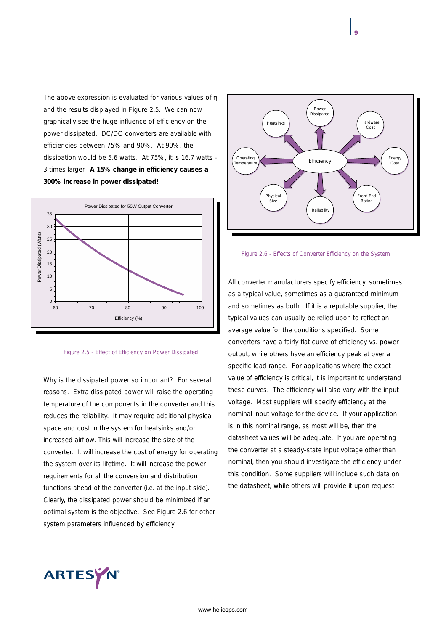The above expression is evaluated for various values of η and the results displayed in Figure 2.5. We can now graphically see the huge influence of efficiency on the power dissipated. DC/DC converters are available with efficiencies between 75% and 90%. At 90%, the dissipation would be 5.6 watts. At 75%, it is 16.7 watts - 3 times larger. **A 15% change in efficiency causes a 300% increase in power dissipated!**





Why is the dissipated power so important? For several reasons. Extra dissipated power will raise the operating temperature of the components in the converter and this reduces the reliability. It may require additional physical space and cost in the system for heatsinks and/or increased airflow. This will increase the size of the converter. It will increase the cost of energy for operating the system over its lifetime. It will increase the power requirements for all the conversion and distribution functions ahead of the converter (i.e. at the input side). Clearly, the dissipated power should be minimized if an optimal system is the objective. See Figure 2.6 for other system parameters influenced by efficiency.





All converter manufacturers specify efficiency, sometimes as a typical value, sometimes as a guaranteed minimum and sometimes as both. If it is a reputable supplier, the typical values can usually be relied upon to reflect an average value for the conditions specified. Some converters have a fairly flat curve of efficiency vs. power output, while others have an efficiency peak at over a specific load range. For applications where the exact value of efficiency is critical, it is important to understand these curves. The efficiency will also vary with the input voltage. Most suppliers will specify efficiency at the nominal input voltage for the device. If your application is in this nominal range, as most will be, then the datasheet values will be adequate. If you are operating the converter at a steady-state input voltage other than nominal, then you should investigate the efficiency under this condition. Some suppliers will include such data on the datasheet, while others will provide it upon request

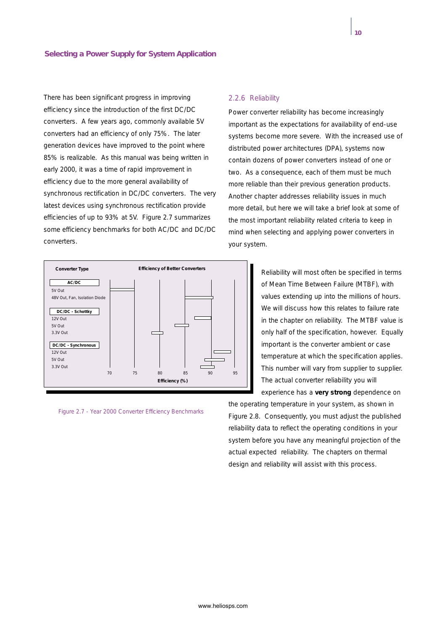There has been significant progress in improving efficiency since the introduction of the first DC/DC converters. A few years ago, commonly available 5V converters had an efficiency of only 75%. The later generation devices have improved to the point where 85% is realizable. As this manual was being written in early 2000, it was a time of rapid improvement in efficiency due to the more general availability of synchronous rectification in DC/DC converters. The very latest devices using synchronous rectification provide efficiencies of up to 93% at 5V. Figure 2.7 summarizes some efficiency benchmarks for both AC/DC and DC/DC converters.



*Figure 2.7 - Year 2000 Converter Efficiency Benchmarks*

## *2.2.6 Reliability*

Power converter reliability has become increasingly important as the expectations for availability of end-use systems become more severe. With the increased use of distributed power architectures (DPA), systems now contain dozens of power converters instead of one or two. As a consequence, each of them must be much more reliable than their previous generation products. Another chapter addresses reliability issues in much more detail, but here we will take a brief look at some of the most important reliability related criteria to keep in mind when selecting and applying power converters in your system.

> Reliability will most often be specified in terms of Mean Time Between Failure (MTBF), with values extending up into the millions of hours. We will discuss how this relates to failure rate in the chapter on reliability. The MTBF value is only half of the specification, however. Equally important is the converter ambient or case temperature at which the specification applies. This number will vary from supplier to supplier. The actual converter reliability you will experience has a **very strong** dependence on

the operating temperature in your system, as shown in Figure 2.8. Consequently, you must adjust the published reliability data to reflect the operating conditions in your system before you have any meaningful projection of the actual expected reliability. The chapters on thermal design and reliability will assist with this process.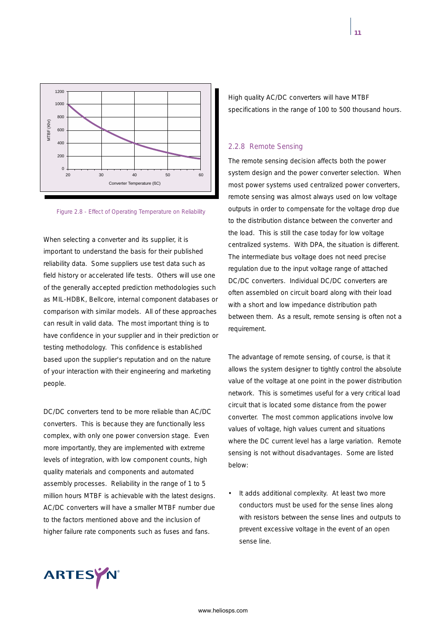

*Figure 2.8 - Effect of Operating Temperature on Reliability*

When selecting a converter and its supplier, it is important to understand the basis for their published reliability data. Some suppliers use test data such as field history or accelerated life tests. Others will use one of the generally accepted prediction methodologies such as MIL-HDBK, Bellcore, internal component databases or comparison with similar models. All of these approaches can result in valid data. The most important thing is to have confidence in your supplier and in their prediction or testing methodology. This confidence is established based upon the supplier's reputation and on the nature of your interaction with their engineering and marketing people.

DC/DC converters tend to be more reliable than AC/DC converters. This is because they are functionally less complex, with only one power conversion stage. Even more importantly, they are implemented with extreme levels of integration, with low component counts, high quality materials and components and automated assembly processes. Reliability in the range of 1 to 5 million hours MTBF is achievable with the latest designs. AC/DC converters will have a smaller MTBF number due to the factors mentioned above and the inclusion of higher failure rate components such as fuses and fans.

High quality AC/DC converters will have MTBF specifications in the range of 100 to 500 thousand hours.

#### *2.2.8 Remote Sensing*

The remote sensing decision affects both the power system design and the power converter selection. When most power systems used centralized power converters, remote sensing was almost always used on low voltage outputs in order to compensate for the voltage drop due to the distribution distance between the converter and the load. This is still the case today for low voltage centralized systems. With DPA, the situation is different. The intermediate bus voltage does not need precise regulation due to the input voltage range of attached DC/DC converters. Individual DC/DC converters are often assembled on circuit board along with their load with a short and low impedance distribution path between them. As a result, remote sensing is often not a requirement.

The advantage of remote sensing, of course, is that it allows the system designer to tightly control the absolute value of the voltage at one point in the power distribution network. This is sometimes useful for a very critical load circuit that is located some distance from the power converter. The most common applications involve low values of voltage, high values current and situations where the DC current level has a large variation. Remote sensing is not without disadvantages. Some are listed below:

It adds additional complexity. At least two more conductors must be used for the sense lines along with resistors between the sense lines and outputs to prevent excessive voltage in the event of an open sense line.



www.heliosps.com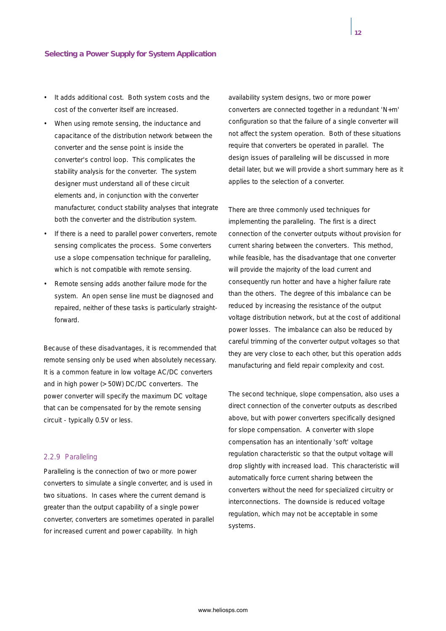- It adds additional cost. Both system costs and the cost of the converter itself are increased.
- When using remote sensing, the inductance and capacitance of the distribution network between the converter and the sense point is inside the converter's control loop. This complicates the stability analysis for the converter. The system designer must understand all of these circuit elements and, in conjunction with the converter manufacturer, conduct stability analyses that integrate both the converter and the distribution system.
- If there is a need to parallel power converters, remote sensing complicates the process. Some converters use a slope compensation technique for paralleling, which is not compatible with remote sensing.
- Remote sensing adds another failure mode for the system. An open sense line must be diagnosed and repaired, neither of these tasks is particularly straightforward.

Because of these disadvantages, it is recommended that remote sensing only be used when absolutely necessary. It is a common feature in low voltage AC/DC converters and in high power (> 50W) DC/DC converters. The power converter will specify the maximum DC voltage that can be compensated for by the remote sensing circuit - typically 0.5V or less.

## *2.2.9 Paralleling*

Paralleling is the connection of two or more power converters to simulate a single converter, and is used in two situations. In cases where the current demand is greater than the output capability of a single power converter, converters are sometimes operated in parallel for increased current and power capability. In high

availability system designs, two or more power converters are connected together in a redundant 'N+m' configuration so that the failure of a single converter will not affect the system operation. Both of these situations require that converters be operated in parallel. The design issues of paralleling will be discussed in more detail later, but we will provide a short summary here as it applies to the selection of a converter.

There are three commonly used techniques for implementing the paralleling. The first is a direct connection of the converter outputs without provision for current sharing between the converters. This method, while feasible, has the disadvantage that one converter will provide the majority of the load current and consequently run hotter and have a higher failure rate than the others. The degree of this imbalance can be reduced by increasing the resistance of the output voltage distribution network, but at the cost of additional power losses. The imbalance can also be reduced by careful trimming of the converter output voltages so that they are very close to each other, but this operation adds manufacturing and field repair complexity and cost.

The second technique, slope compensation, also uses a direct connection of the converter outputs as described above, but with power converters specifically designed for slope compensation. A converter with slope compensation has an intentionally 'soft' voltage regulation characteristic so that the output voltage will drop slightly with increased load. This characteristic will automatically force current sharing between the converters without the need for specialized circuitry or interconnections. The downside is reduced voltage regulation, which may not be acceptable in some systems.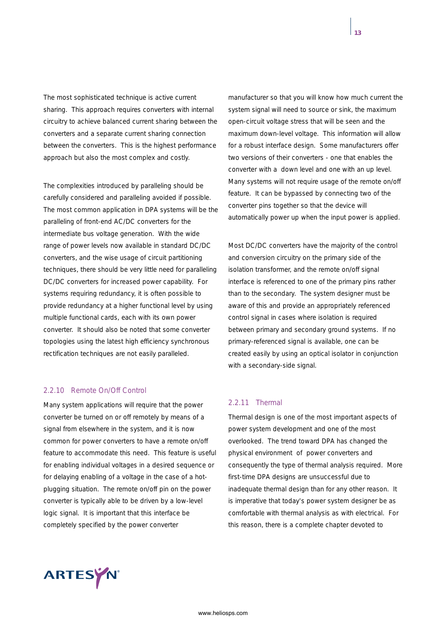The most sophisticated technique is active current sharing. This approach requires converters with internal circuitry to achieve balanced current sharing between the converters and a separate current sharing connection between the converters. This is the highest performance approach but also the most complex and costly.

The complexities introduced by paralleling should be carefully considered and paralleling avoided if possible. The most common application in DPA systems will be the paralleling of front-end AC/DC converters for the intermediate bus voltage generation. With the wide range of power levels now available in standard DC/DC converters, and the wise usage of circuit partitioning techniques, there should be very little need for paralleling DC/DC converters for increased power capability. For systems requiring redundancy, it is often possible to provide redundancy at a higher functional level by using multiple functional cards, each with its own power converter. It should also be noted that some converter topologies using the latest high efficiency synchronous rectification techniques are not easily paralleled.

## *2.2.10 Remote On/Off Control*

Many system applications will require that the power converter be turned on or off remotely by means of a signal from elsewhere in the system, and it is now common for power converters to have a remote on/off feature to accommodate this need. This feature is useful for enabling individual voltages in a desired sequence or for delaying enabling of a voltage in the case of a hotplugging situation. The remote on/off pin on the power converter is typically able to be driven by a low-level logic signal. It is important that this interface be completely specified by the power converter



Most DC/DC converters have the majority of the control and conversion circuitry on the primary side of the isolation transformer, and the remote on/off signal interface is referenced to one of the primary pins rather than to the secondary. The system designer must be aware of this and provide an appropriately referenced control signal in cases where isolation is required between primary and secondary ground systems. If no primary-referenced signal is available, one can be created easily by using an optical isolator in conjunction with a secondary-side signal.

## *2.2.11 Thermal*

Thermal design is one of the most important aspects of power system development and one of the most overlooked. The trend toward DPA has changed the physical environment of power converters and consequently the type of thermal analysis required. More first-time DPA designs are unsuccessful due to inadequate thermal design than for any other reason. It is imperative that today's power system designer be as comfortable with thermal analysis as with electrical. For this reason, there is a complete chapter devoted to

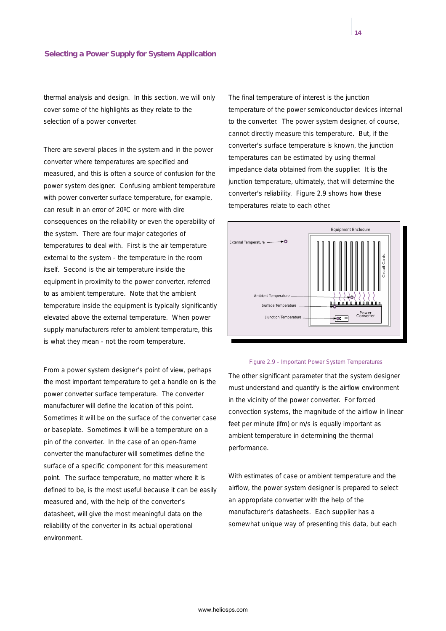thermal analysis and design. In this section, we will only cover some of the highlights as they relate to the selection of a power converter.

There are several places in the system and in the power converter where temperatures are specified and measured, and this is often a source of confusion for the power system designer. Confusing ambient temperature with power converter surface temperature, for example, can result in an error of 20ºC or more with dire consequences on the reliability or even the operability of the system. There are four major categories of temperatures to deal with. First is the air temperature external to the system - the temperature in the room itself. Second is the air temperature inside the equipment in proximity to the power converter, referred to as ambient temperature. Note that the ambient temperature inside the equipment is typically significantly elevated above the external temperature. When power supply manufacturers refer to ambient temperature, this is what they mean - not the room temperature.

From a power system designer's point of view, perhaps the most important temperature to get a handle on is the power converter surface temperature. The converter manufacturer will define the location of this point. Sometimes it will be on the surface of the converter case or baseplate. Sometimes it will be a temperature on a pin of the converter. In the case of an open-frame converter the manufacturer will sometimes define the surface of a specific component for this measurement point. The surface temperature, no matter where it is defined to be, is the most useful because it can be easily measured and, with the help of the converter's datasheet, will give the most meaningful data on the reliability of the converter in its actual operational environment.

The final temperature of interest is the junction temperature of the power semiconductor devices internal to the converter. The power system designer, of course, cannot directly measure this temperature. But, if the converter's surface temperature is known, the junction temperatures can be estimated by using thermal impedance data obtained from the supplier. It is the junction temperature, ultimately, that will determine the converter's reliability. Figure 2.9 shows how these temperatures relate to each other.



#### *Figure 2.9 - Important Power System Temperatures*

The other significant parameter that the system designer must understand and quantify is the airflow environment in the vicinity of the power converter. For forced convection systems, the magnitude of the airflow in linear feet per minute (lfm) or m/s is equally important as ambient temperature in determining the thermal performance.

With estimates of case or ambient temperature and the airflow, the power system designer is prepared to select an appropriate converter with the help of the manufacturer's datasheets. Each supplier has a somewhat unique way of presenting this data, but each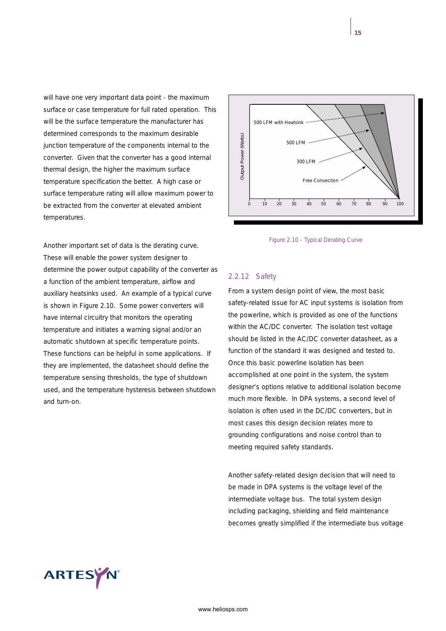will have one very important data point - the maximum surface or case temperature for full rated operation. This will be the surface temperature the manufacturer has determined corresponds to the maximum desirable junction temperature of the components internal to the converter. Given that the converter has a good internal thermal design, the higher the maximum surface temperature specification the better. A high case or surface temperature rating will allow maximum power to be extracted from the converter at elevated ambient temperatures.

Another important set of data is the derating curve. These will enable the power system designer to determine the power output capability of the converter as a function of the ambient temperature, airflow and auxiliary heatsinks used. An example of a typical curve is shown in Figure 2.10. Some power converters will have internal circuitry that monitors the operating temperature and initiates a warning signal and/or an automatic shutdown at specific temperature points. These functions can be helpful in some applications. If they are implemented, the datasheet should define the temperature sensing thresholds, the type of shutdown used, and the temperature hysteresis between shutdown and turn-on.



*Figure 2.10 - Typical Derating Curve*

## *2.2.12 Safety*

From a system design point of view, the most basic safety-related issue for AC input systems is isolation from the powerline, which is provided as one of the functions within the AC/DC converter. The isolation test voltage should be listed in the AC/DC converter datasheet, as a function of the standard it was designed and tested to. Once this basic powerline isolation has been accomplished at one point in the system, the system designer's options relative to additional isolation become much more flexible. In DPA systems, a second level of isolation is often used in the DC/DC converters, but in most cases this design decision relates more to grounding configurations and noise control than to meeting required safety standards.

Another safety-related design decision that will need to be made in DPA systems is the voltage level of the intermediate voltage bus. The total system design including packaging, shielding and field maintenance becomes greatly simplified if the intermediate bus voltage

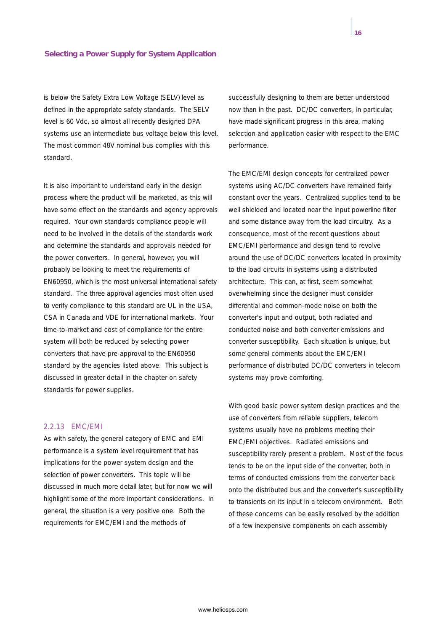is below the Safety Extra Low Voltage (SELV) level as defined in the appropriate safety standards. The SELV level is 60 Vdc, so almost all recently designed DPA systems use an intermediate bus voltage below this level. The most common 48V nominal bus complies with this standard.

It is also important to understand early in the design process where the product will be marketed, as this will have some effect on the standards and agency approvals required. Your own standards compliance people will need to be involved in the details of the standards work and determine the standards and approvals needed for the power converters. In general, however, you will probably be looking to meet the requirements of EN60950, which is the most universal international safety standard. The three approval agencies most often used to verify compliance to this standard are UL in the USA, CSA in Canada and VDE for international markets. Your time-to-market and cost of compliance for the entire system will both be reduced by selecting power converters that have pre-approval to the EN60950 standard by the agencies listed above. This subject is discussed in greater detail in the chapter on safety standards for power supplies.

#### *2.2.13 EMC/EMI*

As with safety, the general category of EMC and EMI performance is a system level requirement that has implications for the power system design and the selection of power converters. This topic will be discussed in much more detail later, but for now we will highlight some of the more important considerations. In general, the situation is a very positive one. Both the requirements for EMC/EMI and the methods of

successfully designing to them are better understood now than in the past. DC/DC converters, in particular, have made significant progress in this area, making selection and application easier with respect to the EMC performance.

The EMC/EMI design concepts for centralized power systems using AC/DC converters have remained fairly constant over the years. Centralized supplies tend to be well shielded and located near the input powerline filter and some distance away from the load circuitry. As a consequence, most of the recent questions about EMC/EMI performance and design tend to revolve around the use of DC/DC converters located in proximity to the load circuits in systems using a distributed architecture. This can, at first, seem somewhat overwhelming since the designer must consider differential and common-mode noise on both the converter's input and output, both radiated and conducted noise and both converter emissions and converter susceptibility. Each situation is unique, but some general comments about the EMC/EMI performance of distributed DC/DC converters in telecom systems may prove comforting.

With good basic power system design practices and the use of converters from reliable suppliers, telecom systems usually have no problems meeting their EMC/EMI objectives. Radiated emissions and susceptibility rarely present a problem. Most of the focus tends to be on the input side of the converter, both in terms of conducted emissions from the converter back onto the distributed bus and the converter's susceptibility to transients on its input in a telecom environment. Both of these concerns can be easily resolved by the addition of a few inexpensive components on each assembly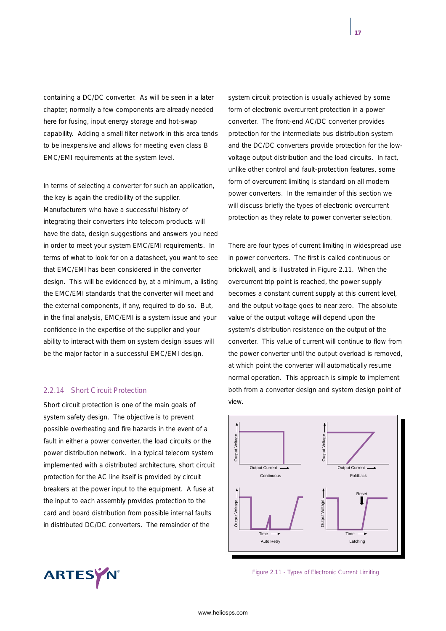containing a DC/DC converter. As will be seen in a later chapter, normally a few components are already needed here for fusing, input energy storage and hot-swap capability. Adding a small filter network in this area tends to be inexpensive and allows for meeting even class B EMC/EMI requirements at the system level.

In terms of selecting a converter for such an application, the key is again the credibility of the supplier. Manufacturers who have a successful history of integrating their converters into telecom products will have the data, design suggestions and answers you need in order to meet your system EMC/EMI requirements. In terms of what to look for on a datasheet, you want to see that EMC/EMI has been considered in the converter design. This will be evidenced by, at a minimum, a listing the EMC/EMI standards that the converter will meet and the external components, if any, required to do so. But, in the final analysis, EMC/EMI is a system issue and your confidence in the expertise of the supplier and your ability to interact with them on system design issues will be the major factor in a successful EMC/EMI design.

## *2.2.14 Short Circuit Protection*

Short circuit protection is one of the main goals of system safety design. The objective is to prevent possible overheating and fire hazards in the event of a fault in either a power converter, the load circuits or the power distribution network. In a typical telecom system implemented with a distributed architecture, short circuit protection for the AC line itself is provided by circuit breakers at the power input to the equipment. A fuse at the input to each assembly provides protection to the card and board distribution from possible internal faults in distributed DC/DC converters. The remainder of the

system circuit protection is usually achieved by some form of electronic overcurrent protection in a power converter. The front-end AC/DC converter provides protection for the intermediate bus distribution system and the DC/DC converters provide protection for the lowvoltage output distribution and the load circuits. In fact, unlike other control and fault-protection features, some form of overcurrent limiting is standard on all modern power converters. In the remainder of this section we will discuss briefly the types of electronic overcurrent protection as they relate to power converter selection.

There are four types of current limiting in widespread use in power converters. The first is called continuous or brickwall, and is illustrated in Figure 2.11. When the overcurrent trip point is reached, the power supply becomes a constant current supply at this current level, and the output voltage goes to near zero. The absolute value of the output voltage will depend upon the system's distribution resistance on the output of the converter. This value of current will continue to flow from the power converter until the output overload is removed, at which point the converter will automatically resume normal operation. This approach is simple to implement both from a converter design and system design point of view.





*Figure 2.11 - Types of Electronic Current Limiting*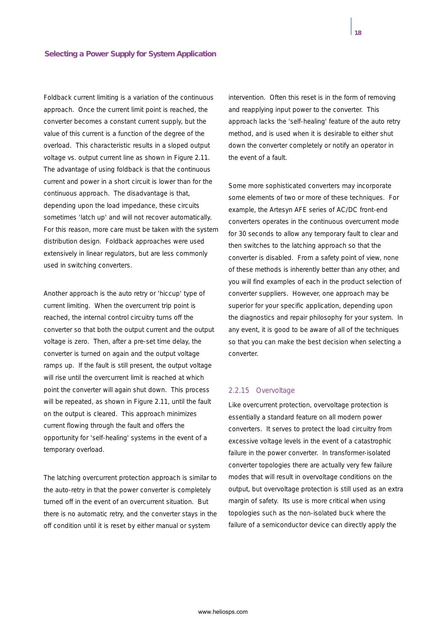Foldback current limiting is a variation of the continuous approach. Once the current limit point is reached, the converter becomes a constant current supply, but the value of this current is a function of the degree of the overload. This characteristic results in a sloped output voltage vs. output current line as shown in Figure 2.11. The advantage of using foldback is that the continuous current and power in a short circuit is lower than for the continuous approach. The disadvantage is that, depending upon the load impedance, these circuits sometimes 'latch up' and will not recover automatically. For this reason, more care must be taken with the system distribution design. Foldback approaches were used extensively in linear regulators, but are less commonly used in switching converters.

Another approach is the auto retry or 'hiccup' type of current limiting. When the overcurrent trip point is reached, the internal control circuitry turns off the converter so that both the output current and the output voltage is zero. Then, after a pre-set time delay, the converter is turned on again and the output voltage ramps up. If the fault is still present, the output voltage will rise until the overcurrent limit is reached at which point the converter will again shut down. This process will be repeated, as shown in Figure 2.11, until the fault on the output is cleared. This approach minimizes current flowing through the fault and offers the opportunity for 'self-healing' systems in the event of a temporary overload.

The latching overcurrent protection approach is similar to the auto-retry in that the power converter is completely turned off in the event of an overcurrent situation. But there is no automatic retry, and the converter stays in the off condition until it is reset by either manual or system

intervention. Often this reset is in the form of removing and reapplying input power to the converter. This approach lacks the 'self-healing' feature of the auto retry method, and is used when it is desirable to either shut down the converter completely or notify an operator in the event of a fault.

Some more sophisticated converters may incorporate some elements of two or more of these techniques. For example, the Artesyn AFE series of AC/DC front-end converters operates in the continuous overcurrent mode for 30 seconds to allow any temporary fault to clear and then switches to the latching approach so that the converter is disabled. From a safety point of view, none of these methods is inherently better than any other, and you will find examples of each in the product selection of converter suppliers. However, one approach may be superior for your specific application, depending upon the diagnostics and repair philosophy for your system. In any event, it is good to be aware of all of the techniques so that you can make the best decision when selecting a converter.

#### *2.2.15 Overvoltage*

Like overcurrent protection, overvoltage protection is essentially a standard feature on all modern power converters. It serves to protect the load circuitry from excessive voltage levels in the event of a catastrophic failure in the power converter. In transformer-isolated converter topologies there are actually very few failure modes that will result in overvoltage conditions on the output, but overvoltage protection is still used as an extra margin of safety. Its use is more critical when using topologies such as the non-isolated buck where the failure of a semiconductor device can directly apply the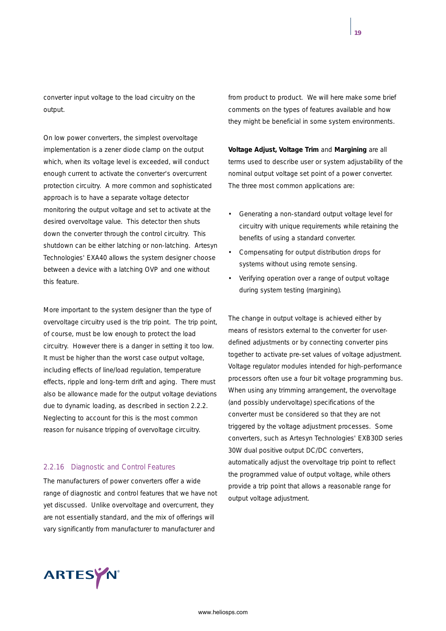converter input voltage to the load circuitry on the output.

On low power converters, the simplest overvoltage implementation is a zener diode clamp on the output which, when its voltage level is exceeded, will conduct enough current to activate the converter's overcurrent protection circuitry. A more common and sophisticated approach is to have a separate voltage detector monitoring the output voltage and set to activate at the desired overvoltage value. This detector then shuts down the converter through the control circuitry. This shutdown can be either latching or non-latching. Artesyn Technologies' EXA40 allows the system designer choose between a device with a latching OVP and one without this feature.

More important to the system designer than the type of overvoltage circuitry used is the trip point. The trip point, of course, must be low enough to protect the load circuitry. However there is a danger in setting it too low. It must be higher than the worst case output voltage, including effects of line/load regulation, temperature effects, ripple and long-term drift and aging. There must also be allowance made for the output voltage deviations due to dynamic loading, as described in section 2.2.2. Neglecting to account for this is the most common reason for nuisance tripping of overvoltage circuitry.

## *2.2.16 Diagnostic and Control Features*

The manufacturers of power converters offer a wide range of diagnostic and control features that we have not yet discussed. Unlike overvoltage and overcurrent, they are not essentially standard, and the mix of offerings will vary significantly from manufacturer to manufacturer and

from product to product. We will here make some brief comments on the types of features available and how they might be beneficial in some system environments.

**Voltage Adjust, Voltage Trim** and **Margining** are all terms used to describe user or system adjustability of the nominal output voltage set point of a power converter. The three most common applications are:

- Generating a non-standard output voltage level for circuitry with unique requirements while retaining the benefits of using a standard converter.
- Compensating for output distribution drops for systems without using remote sensing.
- Verifying operation over a range of output voltage during system testing (margining).

The change in output voltage is achieved either by means of resistors external to the converter for userdefined adjustments or by connecting converter pins together to activate pre-set values of voltage adjustment. Voltage regulator modules intended for high-performance processors often use a four bit voltage programming bus. When using any trimming arrangement, the overvoltage (and possibly undervoltage) specifications of the converter must be considered so that they are not triggered by the voltage adjustment processes. Some converters, such as Artesyn Technologies' EXB30D series 30W dual positive output DC/DC converters, automatically adjust the overvoltage trip point to reflect the programmed value of output voltage, while others provide a trip point that allows a reasonable range for output voltage adjustment.

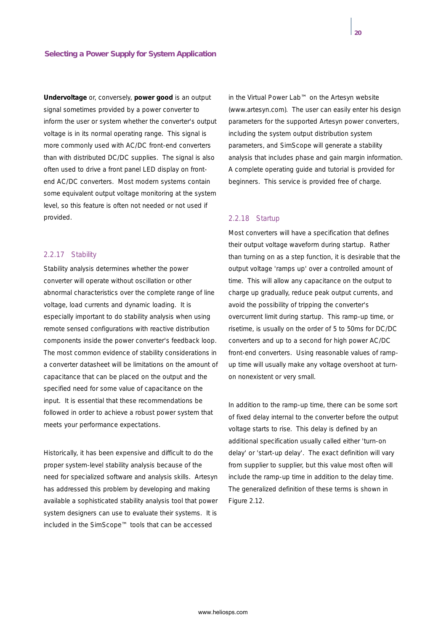**Undervoltage** or, conversely, **power good** is an output signal sometimes provided by a power converter to inform the user or system whether the converter's output voltage is in its normal operating range. This signal is more commonly used with AC/DC front-end converters than with distributed DC/DC supplies. The signal is also often used to drive a front panel LED display on frontend AC/DC converters. Most modern systems contain some equivalent output voltage monitoring at the system level, so this feature is often not needed or not used if provided.

#### *2.2.17 Stability*

Stability analysis determines whether the power converter will operate without oscillation or other abnormal characteristics over the complete range of line voltage, load currents and dynamic loading. It is especially important to do stability analysis when using remote sensed configurations with reactive distribution components inside the power converter's feedback loop. The most common evidence of stability considerations in a converter datasheet will be limitations on the amount of capacitance that can be placed on the output and the specified need for some value of capacitance on the input. It is essential that these recommendations be followed in order to achieve a robust power system that meets your performance expectations.

Historically, it has been expensive and difficult to do the proper system-level stability analysis because of the need for specialized software and analysis skills. Artesyn has addressed this problem by developing and making available a sophisticated stability analysis tool that power system designers can use to evaluate their systems. It is included in the SimScope™ tools that can be accessed

in the Virtual Power Lab™ on the Artesyn website (www.artesyn.com). The user can easily enter his design parameters for the supported Artesyn power converters, including the system output distribution system parameters, and SimScope will generate a stability analysis that includes phase and gain margin information. A complete operating guide and tutorial is provided for beginners. This service is provided free of charge.

#### *2.2.18 Startup*

Most converters will have a specification that defines their output voltage waveform during startup. Rather than turning on as a step function, it is desirable that the output voltage 'ramps up' over a controlled amount of time. This will allow any capacitance on the output to charge up gradually, reduce peak output currents, and avoid the possibility of tripping the converter's overcurrent limit during startup. This ramp-up time, or risetime, is usually on the order of 5 to 50ms for DC/DC converters and up to a second for high power AC/DC front-end converters. Using reasonable values of rampup time will usually make any voltage overshoot at turnon nonexistent or very small.

In addition to the ramp-up time, there can be some sort of fixed delay internal to the converter before the output voltage starts to rise. This delay is defined by an additional specification usually called either 'turn-on delay' or 'start-up delay'. The exact definition will vary from supplier to supplier, but this value most often will include the ramp-up time in addition to the delay time. The generalized definition of these terms is shown in Figure 2.12.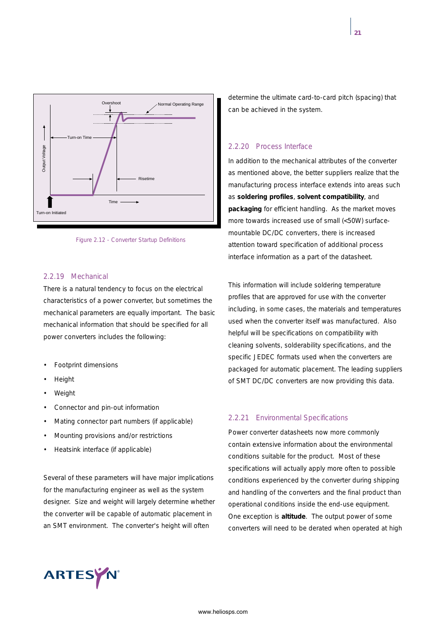

*Figure 2.12 - Converter Startup Definitions*

## *2.2.19 Mechanical*

There is a natural tendency to focus on the electrical characteristics of a power converter, but sometimes the mechanical parameters are equally important. The basic mechanical information that should be specified for all power converters includes the following:

- Footprint dimensions
- **Height**
- **Weight**
- Connector and pin-out information
- Mating connector part numbers (if applicable)
- Mounting provisions and/or restrictions
- Heatsink interface (if applicable)

Several of these parameters will have major implications for the manufacturing engineer as well as the system designer. Size and weight will largely determine whether the converter will be capable of automatic placement in an SMT environment. The converter's height will often

determine the ultimate card-to-card pitch (spacing) that can be achieved in the system.

## *2.2.20 Process Interface*

In addition to the mechanical attributes of the converter as mentioned above, the better suppliers realize that the manufacturing process interface extends into areas such as **soldering profiles**, **solvent compatibility**, and **packaging** for efficient handling. As the market moves more towards increased use of small (<50W) surfacemountable DC/DC converters, there is increased attention toward specification of additional process interface information as a part of the datasheet.

This information will include soldering temperature profiles that are approved for use with the converter including, in some cases, the materials and temperatures used when the converter itself was manufactured. Also helpful will be specifications on compatibility with cleaning solvents, solderability specifications, and the specific JEDEC formats used when the converters are packaged for automatic placement. The leading suppliers of SMT DC/DC converters are now providing this data.

#### *2.2.21 Environmental Specifications*

Power converter datasheets now more commonly contain extensive information about the environmental conditions suitable for the product. Most of these specifications will actually apply more often to possible conditions experienced by the converter during shipping and handling of the converters and the final product than operational conditions inside the end-use equipment. One exception is **altitude**. The output power of some converters will need to be derated when operated at high